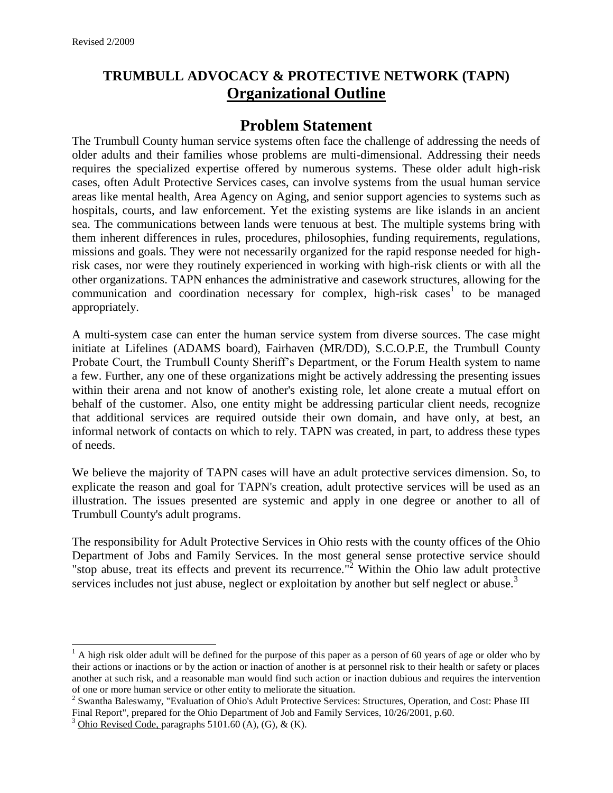# **TRUMBULL ADVOCACY & PROTECTIVE NETWORK (TAPN) Organizational Outline**

## **Problem Statement**

The Trumbull County human service systems often face the challenge of addressing the needs of older adults and their families whose problems are multi-dimensional. Addressing their needs requires the specialized expertise offered by numerous systems. These older adult high-risk cases, often Adult Protective Services cases, can involve systems from the usual human service areas like mental health, Area Agency on Aging, and senior support agencies to systems such as hospitals, courts, and law enforcement. Yet the existing systems are like islands in an ancient sea. The communications between lands were tenuous at best. The multiple systems bring with them inherent differences in rules, procedures, philosophies, funding requirements, regulations, missions and goals. They were not necessarily organized for the rapid response needed for highrisk cases, nor were they routinely experienced in working with high-risk clients or with all the other organizations. TAPN enhances the administrative and casework structures, allowing for the communication and coordination necessary for complex, high-risk cases<sup>1</sup> to be managed appropriately.

A multi-system case can enter the human service system from diverse sources. The case might initiate at Lifelines (ADAMS board), Fairhaven (MR/DD), S.C.O.P.E, the Trumbull County Probate Court, the Trumbull County Sheriff's Department, or the Forum Health system to name a few. Further, any one of these organizations might be actively addressing the presenting issues within their arena and not know of another's existing role, let alone create a mutual effort on behalf of the customer. Also, one entity might be addressing particular client needs, recognize that additional services are required outside their own domain, and have only, at best, an informal network of contacts on which to rely. TAPN was created, in part, to address these types of needs.

We believe the majority of TAPN cases will have an adult protective services dimension. So, to explicate the reason and goal for TAPN's creation, adult protective services will be used as an illustration. The issues presented are systemic and apply in one degree or another to all of Trumbull County's adult programs.

The responsibility for Adult Protective Services in Ohio rests with the county offices of the Ohio Department of Jobs and Family Services. In the most general sense protective service should "stop abuse, treat its effects and prevent its recurrence."<sup>2</sup> Within the Ohio law adult protective services includes not just abuse, neglect or exploitation by another but self neglect or abuse.<sup>3</sup>

 $\overline{a}$ 

 $<sup>1</sup>$  A high risk older adult will be defined for the purpose of this paper as a person of 60 years of age or older who by</sup> their actions or inactions or by the action or inaction of another is at personnel risk to their health or safety or places another at such risk, and a reasonable man would find such action or inaction dubious and requires the intervention of one or more human service or other entity to meliorate the situation.

<sup>&</sup>lt;sup>2</sup> Swantha Baleswamy, "Evaluation of Ohio's Adult Protective Services: Structures, Operation, and Cost: Phase III Final Report", prepared for the Ohio Department of Job and Family Services, 10/26/2001, p.60.

<sup>&</sup>lt;sup>3</sup> Ohio Revised Code, paragraphs 5101.60 (A), (G),  $\&$  (K).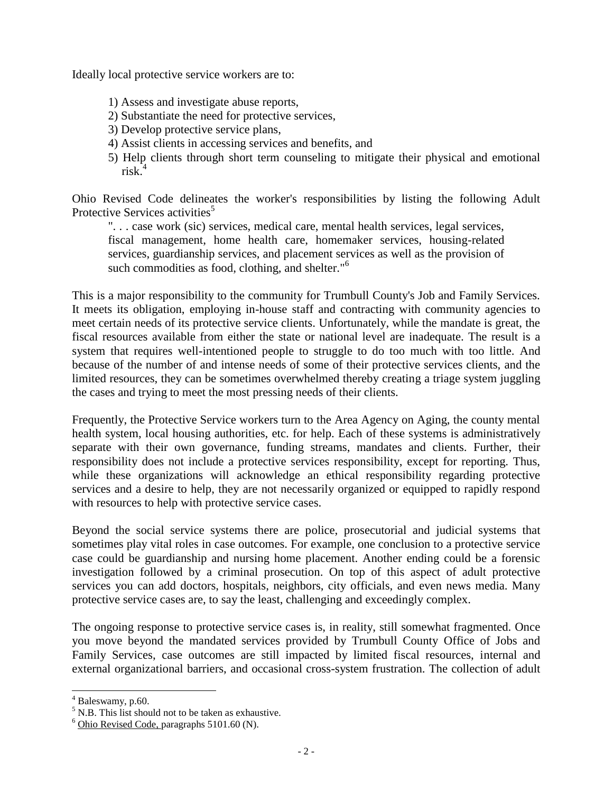Ideally local protective service workers are to:

- 1) Assess and investigate abuse reports,
- 2) Substantiate the need for protective services,
- 3) Develop protective service plans,
- 4) Assist clients in accessing services and benefits, and
- 5) Help clients through short term counseling to mitigate their physical and emotional risk.<sup>4</sup>

Ohio Revised Code delineates the worker's responsibilities by listing the following Adult Protective Services activities<sup>5</sup>

". . . case work (sic) services, medical care, mental health services, legal services, fiscal management, home health care, homemaker services, housing-related services, guardianship services, and placement services as well as the provision of such commodities as food, clothing, and shelter."<sup>6</sup>

This is a major responsibility to the community for Trumbull County's Job and Family Services. It meets its obligation, employing in-house staff and contracting with community agencies to meet certain needs of its protective service clients. Unfortunately, while the mandate is great, the fiscal resources available from either the state or national level are inadequate. The result is a system that requires well-intentioned people to struggle to do too much with too little. And because of the number of and intense needs of some of their protective services clients, and the limited resources, they can be sometimes overwhelmed thereby creating a triage system juggling the cases and trying to meet the most pressing needs of their clients.

Frequently, the Protective Service workers turn to the Area Agency on Aging, the county mental health system, local housing authorities, etc. for help. Each of these systems is administratively separate with their own governance, funding streams, mandates and clients. Further, their responsibility does not include a protective services responsibility, except for reporting. Thus, while these organizations will acknowledge an ethical responsibility regarding protective services and a desire to help, they are not necessarily organized or equipped to rapidly respond with resources to help with protective service cases.

Beyond the social service systems there are police, prosecutorial and judicial systems that sometimes play vital roles in case outcomes. For example, one conclusion to a protective service case could be guardianship and nursing home placement. Another ending could be a forensic investigation followed by a criminal prosecution. On top of this aspect of adult protective services you can add doctors, hospitals, neighbors, city officials, and even news media. Many protective service cases are, to say the least, challenging and exceedingly complex.

The ongoing response to protective service cases is, in reality, still somewhat fragmented. Once you move beyond the mandated services provided by Trumbull County Office of Jobs and Family Services, case outcomes are still impacted by limited fiscal resources, internal and external organizational barriers, and occasional cross-system frustration. The collection of adult

l

 $4$  Baleswamy, p.60.

 $5$  N.B. This list should not to be taken as exhaustive.

 $6$  Ohio Revised Code, paragraphs 5101.60 (N).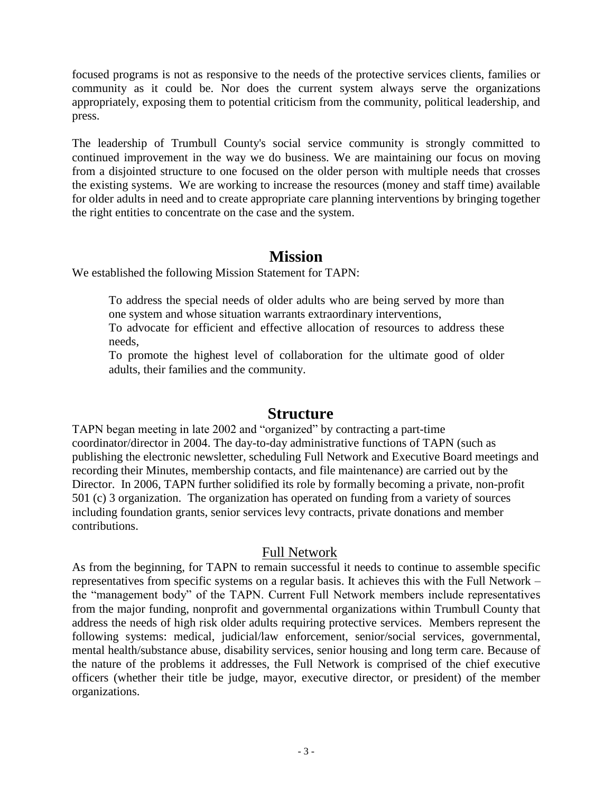focused programs is not as responsive to the needs of the protective services clients, families or community as it could be. Nor does the current system always serve the organizations appropriately, exposing them to potential criticism from the community, political leadership, and press.

The leadership of Trumbull County's social service community is strongly committed to continued improvement in the way we do business. We are maintaining our focus on moving from a disjointed structure to one focused on the older person with multiple needs that crosses the existing systems. We are working to increase the resources (money and staff time) available for older adults in need and to create appropriate care planning interventions by bringing together the right entities to concentrate on the case and the system.

## **Mission**

We established the following Mission Statement for TAPN:

To address the special needs of older adults who are being served by more than one system and whose situation warrants extraordinary interventions,

To advocate for efficient and effective allocation of resources to address these needs,

To promote the highest level of collaboration for the ultimate good of older adults, their families and the community.

## **Structure**

TAPN began meeting in late 2002 and "organized" by contracting a part-time coordinator/director in 2004. The day-to-day administrative functions of TAPN (such as publishing the electronic newsletter, scheduling Full Network and Executive Board meetings and recording their Minutes, membership contacts, and file maintenance) are carried out by the Director. In 2006, TAPN further solidified its role by formally becoming a private, non-profit 501 (c) 3 organization. The organization has operated on funding from a variety of sources including foundation grants, senior services levy contracts, private donations and member contributions.

#### Full Network

As from the beginning, for TAPN to remain successful it needs to continue to assemble specific representatives from specific systems on a regular basis. It achieves this with the Full Network – the "management body" of the TAPN. Current Full Network members include representatives from the major funding, nonprofit and governmental organizations within Trumbull County that address the needs of high risk older adults requiring protective services. Members represent the following systems: medical, judicial/law enforcement, senior/social services, governmental, mental health/substance abuse, disability services, senior housing and long term care. Because of the nature of the problems it addresses, the Full Network is comprised of the chief executive officers (whether their title be judge, mayor, executive director, or president) of the member organizations.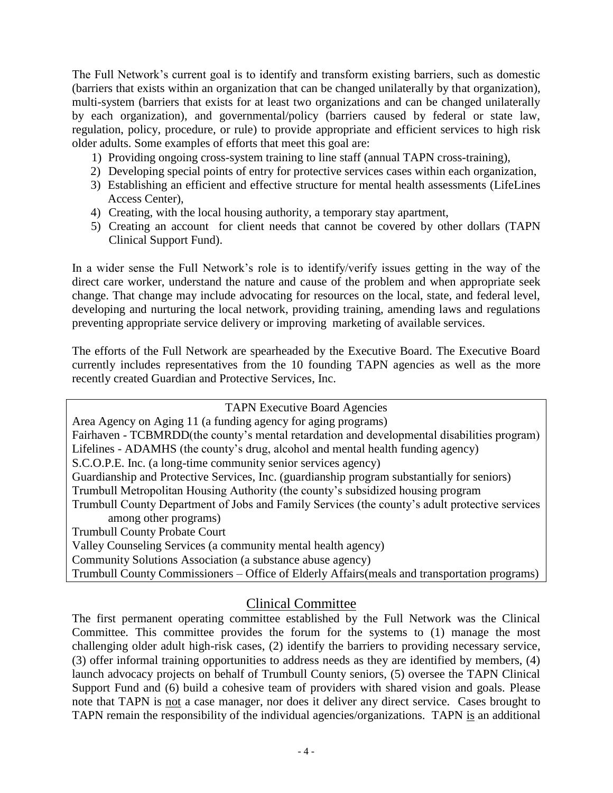The Full Network's current goal is to identify and transform existing barriers, such as domestic (barriers that exists within an organization that can be changed unilaterally by that organization), multi-system (barriers that exists for at least two organizations and can be changed unilaterally by each organization), and governmental/policy (barriers caused by federal or state law, regulation, policy, procedure, or rule) to provide appropriate and efficient services to high risk older adults. Some examples of efforts that meet this goal are:

- 1) Providing ongoing cross-system training to line staff (annual TAPN cross-training),
- 2) Developing special points of entry for protective services cases within each organization,
- 3) Establishing an efficient and effective structure for mental health assessments (LifeLines Access Center),
- 4) Creating, with the local housing authority, a temporary stay apartment,
- 5) Creating an account for client needs that cannot be covered by other dollars (TAPN Clinical Support Fund).

In a wider sense the Full Network's role is to identify/verify issues getting in the way of the direct care worker, understand the nature and cause of the problem and when appropriate seek change. That change may include advocating for resources on the local, state, and federal level, developing and nurturing the local network, providing training, amending laws and regulations preventing appropriate service delivery or improving marketing of available services.

The efforts of the Full Network are spearheaded by the Executive Board. The Executive Board currently includes representatives from the 10 founding TAPN agencies as well as the more recently created Guardian and Protective Services, Inc.

TAPN Executive Board Agencies Area Agency on Aging 11 (a funding agency for aging programs) Fairhaven - TCBMRDD(the county's mental retardation and developmental disabilities program) Lifelines - ADAMHS (the county's drug, alcohol and mental health funding agency) S.C.O.P.E. Inc. (a long-time community senior services agency) Guardianship and Protective Services, Inc. (guardianship program substantially for seniors) Trumbull Metropolitan Housing Authority (the county's subsidized housing program Trumbull County Department of Jobs and Family Services (the county's adult protective services among other programs) Trumbull County Probate Court Valley Counseling Services (a community mental health agency) Community Solutions Association (a substance abuse agency) Trumbull County Commissioners – Office of Elderly Affairs(meals and transportation programs)

#### Clinical Committee

The first permanent operating committee established by the Full Network was the Clinical Committee. This committee provides the forum for the systems to (1) manage the most challenging older adult high-risk cases, (2) identify the barriers to providing necessary service, (3) offer informal training opportunities to address needs as they are identified by members, (4) launch advocacy projects on behalf of Trumbull County seniors, (5) oversee the TAPN Clinical Support Fund and (6) build a cohesive team of providers with shared vision and goals. Please note that TAPN is not a case manager, nor does it deliver any direct service. Cases brought to TAPN remain the responsibility of the individual agencies/organizations. TAPN is an additional